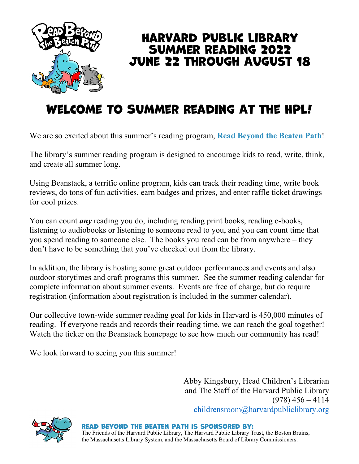

#### Harvard Public Library Summer Reading 2022 June 22 through August 18

#### Welcome to Summer Reading At the HPL!

We are so excited about this summer's reading program, **Read Beyond the Beaten Path**!

The library's summer reading program is designed to encourage kids to read, write, think, and create all summer long.

Using Beanstack, a terrific online program, kids can track their reading time, write book reviews, do tons of fun activities, earn badges and prizes, and enter raffle ticket drawings for cool prizes.

You can count *any* reading you do, including reading print books, reading e-books, listening to audiobooks or listening to someone read to you, and you can count time that you spend reading to someone else. The books you read can be from anywhere – they don't have to be something that you've checked out from the library.

In addition, the library is hosting some great outdoor performances and events and also outdoor storytimes and craft programs this summer. See the summer reading calendar for complete information about summer events. Events are free of charge, but do require registration (information about registration is included in the summer calendar).

Our collective town-wide summer reading goal for kids in Harvard is 450,000 minutes of reading. If everyone reads and records their reading time, we can reach the goal together! Watch the ticker on the Beanstack homepage to see how much our community has read!

We look forward to seeing you this summer!

Abby Kingsbury, Head Children's Librarian and The Staff of the Harvard Public Library  $(978)$  456 – 4114 childrensroom@harvardpubliclibrary.org



Read Beyond the Beaten Path is sponsored by: The Friends of the Harvard Public Library, The Harvard Public Library Trust, the Boston Bruins, the Massachusetts Library System, and the Massachusetts Board of Library Commissioners.